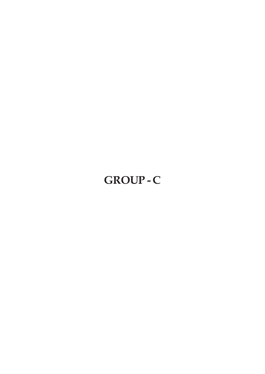# **GROUP - C**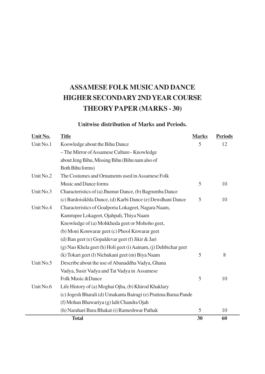# **ASSAMESE FOLK MUSIC AND DANCE HIGHER SECONDARY 2ND YEAR COURSE THEORY PAPER (MARKS - 30)**

#### **Unitwise distribution of Marks and Periods.**

| Unit No.  | <b>Title</b>                                                    | <b>Marks</b> | <b>Periods</b> |
|-----------|-----------------------------------------------------------------|--------------|----------------|
| Unit No.1 | Koowledge about the Bihu Dance                                  | 5            | 12             |
|           | - The Mirror of Assamese Culture-Knowledge                      |              |                |
|           | about Jeng Bihu, Missing Bihu (Bihu nam also of                 |              |                |
|           | Both Bihu forms)                                                |              |                |
| Unit No.2 | The Costumes and Ornaments used in Assamese Folk                |              |                |
|           | Music and Dance forms                                           | 5            | 10             |
| Unit No.3 | Characteristics of (a) Jhumur Dance, (b) Bagrumba Dance         |              |                |
|           | (c) Bardoisikhla Dance, (d) Karbi Dance (e) Dewdhani Dance      | 5            | 10             |
| Unit No.4 | Characteristics of Goalporia Lokageet, Nagara Naam,             |              |                |
|           | Kamrupee Lokageet, Ojahpali, Thiya Naam                         |              |                |
|           | Knowledge of (a) Mohkheda geet or Mohoho geet,                  |              |                |
|           | (b) Moni Konwarar geet (c) Phool Knwarar geet                   |              |                |
|           | (d) Ban geet (e) Gopaldevar geet (f) Jikir & Jari               |              |                |
|           | (g) Nao Khela geet (h) Holi geet (i) Aainam, (j) Dehbichar geet |              |                |
|           | (k) Tokari geet (l) Nichukani geet (m) Biya Naam                | 5            | 8              |
| Unit No.5 | Describe about the use of Abanaddha Vadya, Ghana                |              |                |
|           | Vadya, Susir Vadya and Tat Vadya in Assamese                    |              |                |
|           | Folk Music & Dance                                              | 5            | 10             |
| Unit No.6 | Life History of (a) Moghai Ojha, (b) Khirod Khaklary            |              |                |
|           | (c) Jogesh Bharali (d) Umakanta Bairagi (e) Pratima Barua Pande |              |                |
|           | (f) Mohan Bhawariya (g) lalit Chandra Ojah                      |              |                |
|           | (h) Narahari Bura Bhakat (i) Rameshwar Pathak                   | 5            | 10             |
|           | <b>Total</b>                                                    | 30           | 60             |